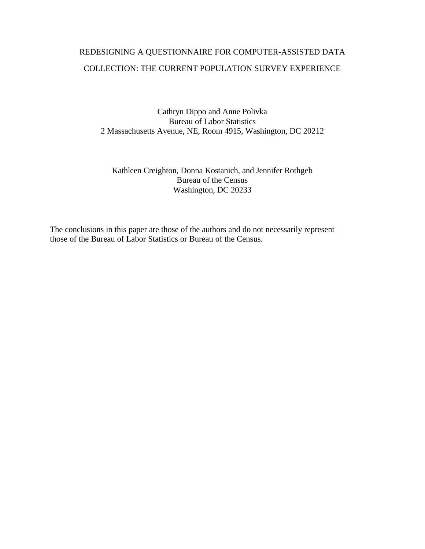# REDESIGNING A QUESTIONNAIRE FOR COMPUTER-ASSISTED DATA COLLECTION: THE CURRENT POPULATION SURVEY EXPERIENCE

Cathryn Dippo and Anne Polivka Bureau of Labor Statistics 2 Massachusetts Avenue, NE, Room 4915, Washington, DC 20212

# Kathleen Creighton, Donna Kostanich, and Jennifer Rothgeb Bureau of the Census Washington, DC 20233

The conclusions in this paper are those of the authors and do not necessarily represent those of the Bureau of Labor Statistics or Bureau of the Census.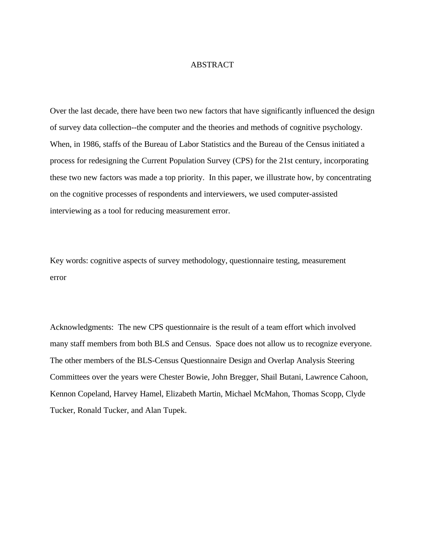# ABSTRACT

Over the last decade, there have been two new factors that have significantly influenced the design of survey data collection--the computer and the theories and methods of cognitive psychology. When, in 1986, staffs of the Bureau of Labor Statistics and the Bureau of the Census initiated a process for redesigning the Current Population Survey (CPS) for the 21st century, incorporating these two new factors was made a top priority. In this paper, we illustrate how, by concentrating on the cognitive processes of respondents and interviewers, we used computer-assisted interviewing as a tool for reducing measurement error.

Key words: cognitive aspects of survey methodology, questionnaire testing, measurement error

Acknowledgments: The new CPS questionnaire is the result of a team effort which involved many staff members from both BLS and Census. Space does not allow us to recognize everyone. The other members of the BLS-Census Questionnaire Design and Overlap Analysis Steering Committees over the years were Chester Bowie, John Bregger, Shail Butani, Lawrence Cahoon, Kennon Copeland, Harvey Hamel, Elizabeth Martin, Michael McMahon, Thomas Scopp, Clyde Tucker, Ronald Tucker, and Alan Tupek.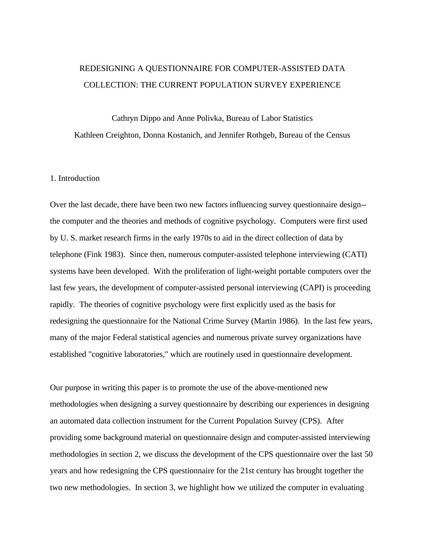# REDESIGNING A QUESTIONNAIRE FOR COMPUTER-ASSISTED DATA COLLECTION: THE CURRENT POPULATION SURVEY EXPERIENCE

Cathryn Dippo and Anne Polivka, Bureau of Labor Statistics Kathleen Creighton, Donna Kostanich, and Jennifer Rothgeb, Bureau of the Census

# 1. Introduction

Over the last decade, there have been two new factors influencing survey questionnaire design- the computer and the theories and methods of cognitive psychology. Computers were first used by U. S. market research firms in the early 1970s to aid in the direct collection of data by telephone (Fink 1983). Since then, numerous computer-assisted telephone interviewing (CATI) systems have been developed. With the proliferation of light-weight portable computers over the last few years, the development of computer-assisted personal interviewing (CAPI) is proceeding rapidly. The theories of cognitive psychology were first explicitly used as the basis for redesigning the questionnaire for the National Crime Survey (Martin 1986). In the last few years, many of the major Federal statistical agencies and numerous private survey organizations have established "cognitive laboratories," which are routinely used in questionnaire development.

Our purpose in writing this paper is to promote the use of the above-mentioned new methodologies when designing a survey questionnaire by describing our experiences in designing an automated data collection instrument for the Current Population Survey (CPS). After providing some background material on questionnaire design and computer-assisted interviewing methodologies in section 2, we discuss the development of the CPS questionnaire over the last 50 years and how redesigning the CPS questionnaire for the 21st century has brought together the two new methodologies. In section 3, we highlight how we utilized the computer in evaluating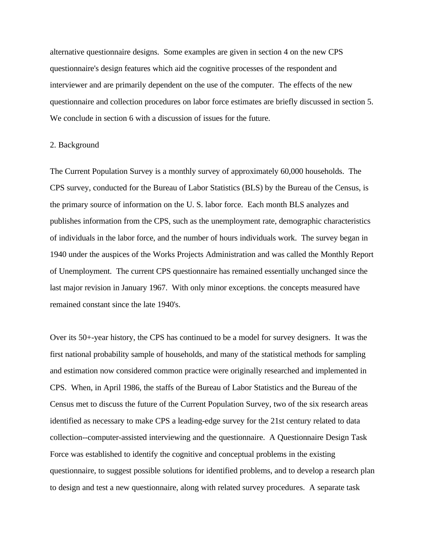alternative questionnaire designs. Some examples are given in section 4 on the new CPS questionnaire's design features which aid the cognitive processes of the respondent and interviewer and are primarily dependent on the use of the computer. The effects of the new questionnaire and collection procedures on labor force estimates are briefly discussed in section 5. We conclude in section 6 with a discussion of issues for the future.

#### 2. Background

The Current Population Survey is a monthly survey of approximately 60,000 households. The CPS survey, conducted for the Bureau of Labor Statistics (BLS) by the Bureau of the Census, is the primary source of information on the U. S. labor force. Each month BLS analyzes and publishes information from the CPS, such as the unemployment rate, demographic characteristics of individuals in the labor force, and the number of hours individuals work. The survey began in 1940 under the auspices of the Works Projects Administration and was called the Monthly Report of Unemployment. The current CPS questionnaire has remained essentially unchanged since the last major revision in January 1967. With only minor exceptions. the concepts measured have remained constant since the late 1940's.

Over its 50+-year history, the CPS has continued to be a model for survey designers. It was the first national probability sample of households, and many of the statistical methods for sampling and estimation now considered common practice were originally researched and implemented in CPS. When, in April 1986, the staffs of the Bureau of Labor Statistics and the Bureau of the Census met to discuss the future of the Current Population Survey, two of the six research areas identified as necessary to make CPS a leading-edge survey for the 21st century related to data collection--computer-assisted interviewing and the questionnaire. A Questionnaire Design Task Force was established to identify the cognitive and conceptual problems in the existing questionnaire, to suggest possible solutions for identified problems, and to develop a research plan to design and test a new questionnaire, along with related survey procedures. A separate task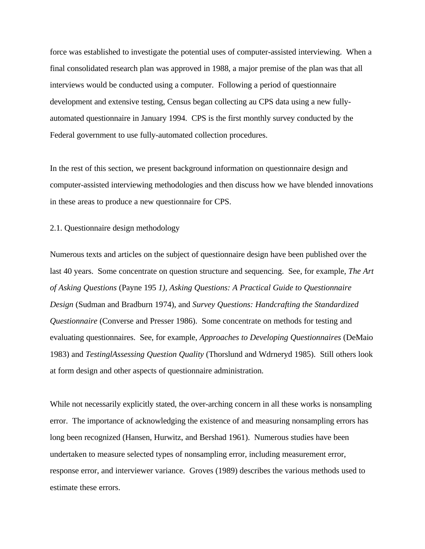force was established to investigate the potential uses of computer-assisted interviewing. When a final consolidated research plan was approved in 1988, a major premise of the plan was that all interviews would be conducted using a computer. Following a period of questionnaire development and extensive testing, Census began collecting au CPS data using a new fullyautomated questionnaire in January 1994. CPS is the first monthly survey conducted by the Federal government to use fully-automated collection procedures.

In the rest of this section, we present background information on questionnaire design and computer-assisted interviewing methodologies and then discuss how we have blended innovations in these areas to produce a new questionnaire for CPS.

2.1. Questionnaire design methodology

Numerous texts and articles on the subject of questionnaire design have been published over the last 40 years. Some concentrate on question structure and sequencing. See, for example, *The Art of Asking Questions* (Payne 195 *1), Asking Questions: A Practical Guide to Questionnaire Design* (Sudman and Bradburn 1974), and *Survey Questions: Handcrafting the Standardized Questionnaire* (Converse and Presser 1986). Some concentrate on methods for testing and evaluating questionnaires. See, for example, *Approaches to Developing Questionnaires* (DeMaio 1983) and *TestinglAssessing Question Quality* (Thorslund and Wdrneryd 1985). Still others look at form design and other aspects of questionnaire administration.

While not necessarily explicitly stated, the over-arching concern in all these works is nonsampling error. The importance of acknowledging the existence of and measuring nonsampling errors has long been recognized (Hansen, Hurwitz, and Bershad 1961). Numerous studies have been undertaken to measure selected types of nonsampling error, including measurement error, response error, and interviewer variance. Groves (1989) describes the various methods used to estimate these errors.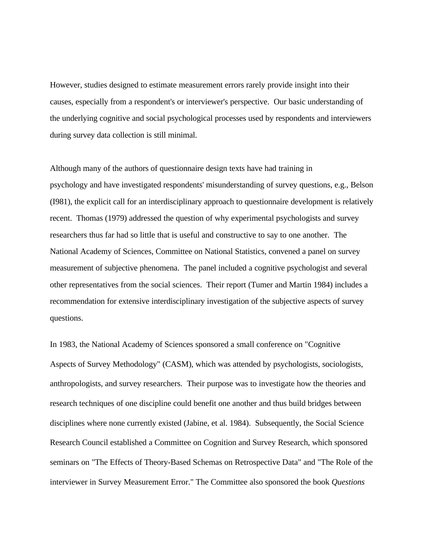However, studies designed to estimate measurement errors rarely provide insight into their causes, especially from a respondent's or interviewer's perspective. Our basic understanding of the underlying cognitive and social psychological processes used by respondents and interviewers during survey data collection is still minimal.

Although many of the authors of questionnaire design texts have had training in psychology and have investigated respondents' misunderstanding of survey questions, e.g., Belson (I981), the explicit call for an interdisciplinary approach to questionnaire development is relatively recent. Thomas (1979) addressed the question of why experimental psychologists and survey researchers thus far had so little that is useful and constructive to say to one another. The National Academy of Sciences, Committee on National Statistics, convened a panel on survey measurement of subjective phenomena. The panel included a cognitive psychologist and several other representatives from the social sciences. Their report (Tumer and Martin 1984) includes a recommendation for extensive interdisciplinary investigation of the subjective aspects of survey questions.

In 1983, the National Academy of Sciences sponsored a small conference on "Cognitive Aspects of Survey Methodology" (CASM), which was attended by psychologists, sociologists, anthropologists, and survey researchers. Their purpose was to investigate how the theories and research techniques of one discipline could benefit one another and thus build bridges between disciplines where none currently existed (Jabine, et al. 1984). Subsequently, the Social Science Research Council established a Committee on Cognition and Survey Research, which sponsored seminars on "The Effects of Theory-Based Schemas on Retrospective Data" and "The Role of the interviewer in Survey Measurement Error." The Committee also sponsored the book *Questions*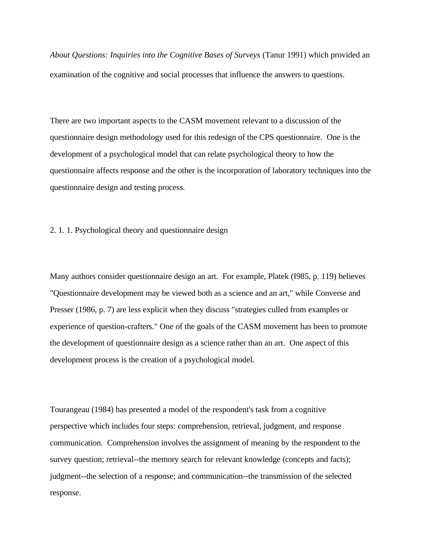*About Questions: Inquiries into the Cognitive Bases of Surveys* (Tanur 1991) which provided an examination of the cognitive and social processes that influence the answers to questions.

There are two important aspects to the CASM movement relevant to a discussion of the questionnaire design methodology used for this redesign of the CPS questionnaire. One is the development of a psychological model that can relate psychological theory to how the questionnaire affects response and the other is the incorporation of laboratory techniques into the questionnaire design and testing process.

2. 1. 1. Psychological theory and questionnaire design

Many authors consider questionnaire design an art. For example, Platek (I985, p. 119) believes "Questionnaire development may be viewed both as a science and an art," while Converse and Presser (1986, p. 7) are less explicit when they discuss "strategies culled from examples or experience of question-crafters." One of the goals of the CASM movement has been to promote the development of questionnaire design as a science rather than an art. One aspect of this development process is the creation of a psychological model.

Tourangeau (1984) has presented a model of the respondent's task from a cognitive perspective which includes four steps: comprehension, retrieval, judgment, and response communication. Comprehension involves the assignment of meaning by the respondent to the survey question; retrieval--the memory search for relevant knowledge (concepts and facts); judgment--the selection of a response; and communication--the transmission of the selected response.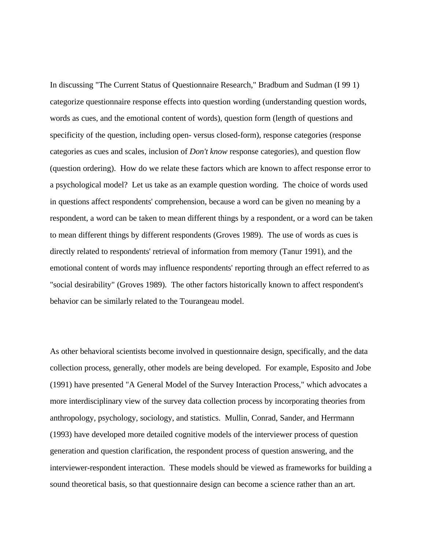In discussing "The Current Status of Questionnaire Research," Bradbum and Sudman (I 99 1) categorize questionnaire response effects into question wording (understanding question words, words as cues, and the emotional content of words), question form (length of questions and specificity of the question, including open- versus closed-form), response categories (response categories as cues and scales, inclusion of *Don't know* response categories), and question flow (question ordering). How do we relate these factors which are known to affect response error to a psychological model? Let us take as an example question wording. The choice of words used in questions affect respondents' comprehension, because a word can be given no meaning by a respondent, a word can be taken to mean different things by a respondent, or a word can be taken to mean different things by different respondents (Groves 1989). The use of words as cues is directly related to respondents' retrieval of information from memory (Tanur 1991), and the emotional content of words may influence respondents' reporting through an effect referred to as "social desirability" (Groves 1989). The other factors historically known to affect respondent's behavior can be similarly related to the Tourangeau model.

As other behavioral scientists become involved in questionnaire design, specifically, and the data collection process, generally, other models are being developed. For example, Esposito and Jobe (1991) have presented "A General Model of the Survey Interaction Process," which advocates a more interdisciplinary view of the survey data collection process by incorporating theories from anthropology, psychology, sociology, and statistics. Mullin, Conrad, Sander, and Herrmann (1993) have developed more detailed cognitive models of the interviewer process of question generation and question clarification, the respondent process of question answering, and the interviewer-respondent interaction. These models should be viewed as frameworks for building a sound theoretical basis, so that questionnaire design can become a science rather than an art.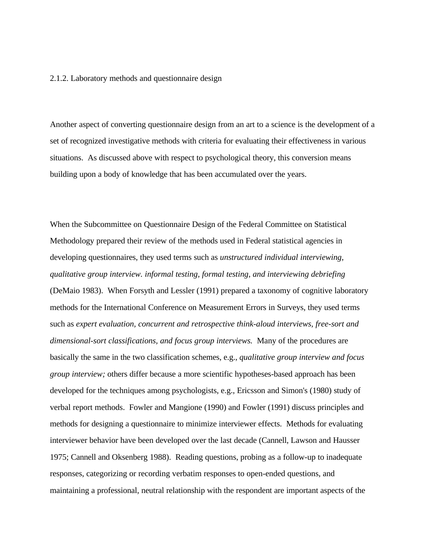#### 2.1.2. Laboratory methods and questionnaire design

Another aspect of converting questionnaire design from an art to a science is the development of a set of recognized investigative methods with criteria for evaluating their effectiveness in various situations. As discussed above with respect to psychological theory, this conversion means building upon a body of knowledge that has been accumulated over the years.

When the Subcommittee on Questionnaire Design of the Federal Committee on Statistical Methodology prepared their review of the methods used in Federal statistical agencies in developing questionnaires, they used terms such as *unstructured individual interviewing, qualitative group interview. informal testing, formal testing, and interviewing debriefing* (DeMaio 1983). When Forsyth and Lessler (1991) prepared a taxonomy of cognitive laboratory methods for the International Conference on Measurement Errors in Surveys, they used terms such as *expert evaluation, concurrent and retrospective think-aloud interviews, free-sort and dimensional-sort classifications, and focus group interviews.* Many of the procedures are basically the same in the two classification schemes, e.g., *qualitative group interview and focus group interview;* others differ because a more scientific hypotheses-based approach has been developed for the techniques among psychologists, e.g., Ericsson and Simon's (1980) study of verbal report methods. Fowler and Mangione (1990) and Fowler (1991) discuss principles and methods for designing a questionnaire to minimize interviewer effects. Methods for evaluating interviewer behavior have been developed over the last decade (Cannell, Lawson and Hausser 1975; Cannell and Oksenberg 1988). Reading questions, probing as a follow-up to inadequate responses, categorizing or recording verbatim responses to open-ended questions, and maintaining a professional, neutral relationship with the respondent are important aspects of the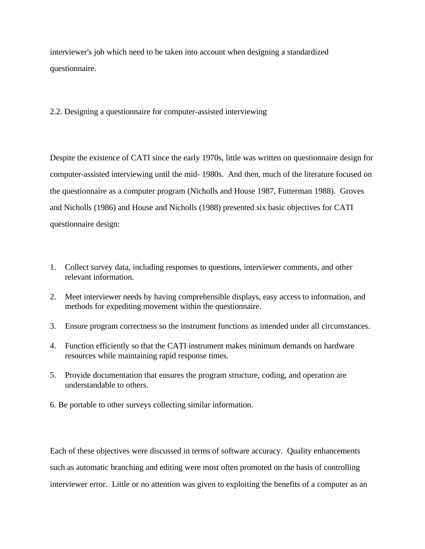interviewer's job which need to be taken into account when designing a standardized questionnaire.

2.2. Designing a questionnaire for computer-assisted interviewing

Despite the existence of CATI since the early 1970s, little was written on questionnaire design for computer-assisted interviewing until the mid- 1980s. And then, much of the literature focused on the questionnaire as a computer program (Nicholls and House 1987, Futterman 1988). Groves and Nicholls (1986) and House and Nicholls (1988) presented six basic objectives for CATI questionnaire design:

- 1. Collect survey data, including responses to questions, interviewer comments, and other relevant information.
- 2. Meet interviewer needs by having comprehensible displays, easy access to information, and methods for expediting movement within the questionnaire.
- 3. Ensure program correctness so the instrument functions as intended under all circumstances.
- 4. Function efficiently so that the CATI instrument makes minimum demands on hardware resources while maintaining rapid response times.
- 5. Provide documentation that ensures the program structure, coding, and operation are understandable to others.
- 6. Be portable to other surveys collecting similar information.

Each of these objectives were discussed in terms of software accuracy. Quality enhancements such as automatic branching and editing were most often promoted on the basis of controlling interviewer error. Little or no attention was given to exploiting the benefits of a computer as an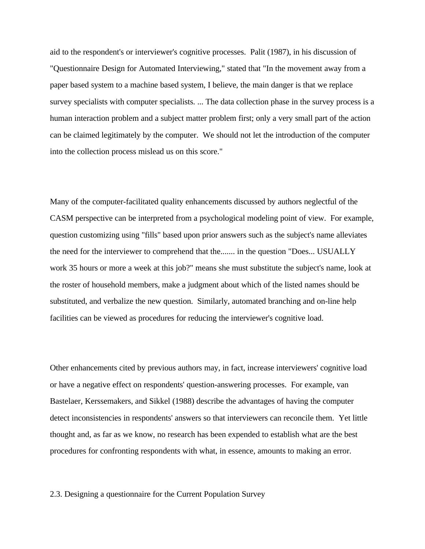aid to the respondent's or interviewer's cognitive processes. Palit (1987), in his discussion of "Questionnaire Design for Automated Interviewing," stated that "In the movement away from a paper based system to a machine based system, I believe, the main danger is that we replace survey specialists with computer specialists. ... The data collection phase in the survey process is a human interaction problem and a subject matter problem first; only a very small part of the action can be claimed legitimately by the computer. We should not let the introduction of the computer into the collection process mislead us on this score."

Many of the computer-facilitated quality enhancements discussed by authors neglectful of the CASM perspective can be interpreted from a psychological modeling point of view. For example, question customizing using "fills" based upon prior answers such as the subject's name alleviates the need for the interviewer to comprehend that the....... in the question "Does... USUALLY work 35 hours or more a week at this job?" means she must substitute the subject's name, look at the roster of household members, make a judgment about which of the listed names should be substituted, and verbalize the new question. Similarly, automated branching and on-line help facilities can be viewed as procedures for reducing the interviewer's cognitive load.

Other enhancements cited by previous authors may, in fact, increase interviewers' cognitive load or have a negative effect on respondents' question-answering processes. For example, van Bastelaer, Kerssemakers, and Sikkel (1988) describe the advantages of having the computer detect inconsistencies in respondents' answers so that interviewers can reconcile them. Yet little thought and, as far as we know, no research has been expended to establish what are the best procedures for confronting respondents with what, in essence, amounts to making an error.

#### 2.3. Designing a questionnaire for the Current Population Survey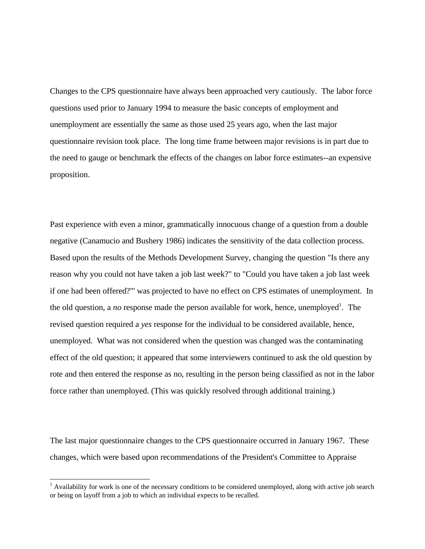Changes to the CPS questionnaire have always been approached very cautiously. The labor force questions used prior to January 1994 to measure the basic concepts of employment and unemployment are essentially the same as those used 25 years ago, when the last major questionnaire revision took place. The long time frame between major revisions is in part due to the need to gauge or benchmark the effects of the changes on labor force estimates--an expensive proposition.

Past experience with even a minor, grammatically innocuous change of a question from a double negative (Canamucio and Bushery 1986) indicates the sensitivity of the data collection process. Based upon the results of the Methods Development Survey, changing the question "Is there any reason why you could not have taken a job last week?" to "Could you have taken a job last week if one had been offered?"' was projected to have no effect on CPS estimates of unemployment. In the old question, a *no* response made the person available for work, hence, unemployed<sup>1</sup>. The revised question required a *yes* response for the individual to be considered available, hence, unemployed. What was not considered when the question was changed was the contaminating effect of the old question; it appeared that some interviewers continued to ask the old question by rote and then entered the response as no, resulting in the person being classified as not in the labor force rather than unemployed. (This was quickly resolved through additional training.)

The last major questionnaire changes to the CPS questionnaire occurred in January 1967. These changes, which were based upon recommendations of the President's Committee to Appraise

-

 $1$  Availability for work is one of the necessary conditions to be considered unemployed, along with active job search or being on layoff from a job to which an individual expects to be recalled.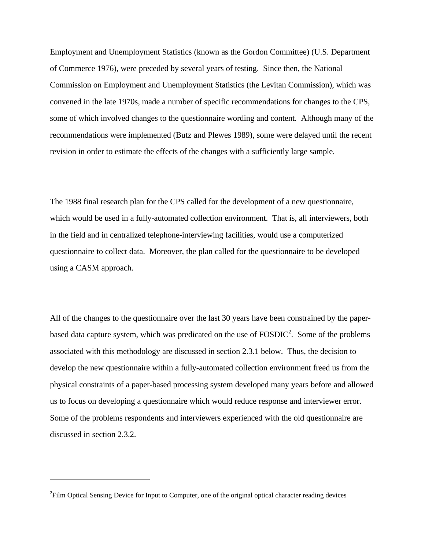Employment and Unemployment Statistics (known as the Gordon Committee) (U.S. Department of Commerce 1976), were preceded by several years of testing. Since then, the National Commission on Employment and Unemployment Statistics (the Levitan Commission), which was convened in the late 1970s, made a number of specific recommendations for changes to the CPS, some of which involved changes to the questionnaire wording and content. Although many of the recommendations were implemented (Butz and Plewes 1989), some were delayed until the recent revision in order to estimate the effects of the changes with a sufficiently large sample.

The 1988 final research plan for the CPS called for the development of a new questionnaire, which would be used in a fully-automated collection environment. That is, all interviewers, both in the field and in centralized telephone-interviewing facilities, would use a computerized questionnaire to collect data. Moreover, the plan called for the questionnaire to be developed using a CASM approach.

All of the changes to the questionnaire over the last 30 years have been constrained by the paperbased data capture system, which was predicated on the use of  $FOSDIC<sup>2</sup>$ . Some of the problems associated with this methodology are discussed in section 2.3.1 below. Thus, the decision to develop the new questionnaire within a fully-automated collection environment freed us from the physical constraints of a paper-based processing system developed many years before and allowed us to focus on developing a questionnaire which would reduce response and interviewer error. Some of the problems respondents and interviewers experienced with the old questionnaire are discussed in section 2.3.2.

 $\overline{a}$ 

 $2$ Film Optical Sensing Device for Input to Computer, one of the original optical character reading devices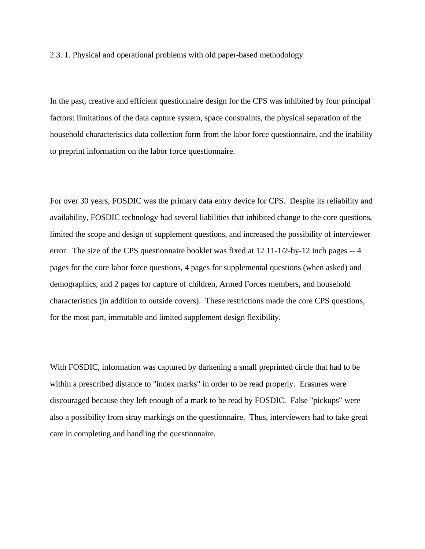2.3. 1. Physical and operational problems with old paper-based methodology

In the past, creative and efficient questionnaire design for the CPS was inhibited by four principal factors: limitations of the data capture system, space constraints, the physical separation of the household characteristics data collection form from the labor force questionnaire, and the inability to preprint information on the labor force questionnaire.

For over 30 years, FOSDIC was the primary data entry device for CPS. Despite its reliability and availability, FOSDIC technology had several liabilities that inhibited change to the core questions, limited the scope and design of supplement questions, and increased the possibility of interviewer error. The size of the CPS questionnaire booklet was fixed at 12 11-1/2-by-12 inch pages -- 4 pages for the core labor force questions, 4 pages for supplemental questions (when asked) and demographics, and 2 pages for capture of children, Armed Forces members, and household characteristics (in addition to outside covers). These restrictions made the core CPS questions, for the most part, immutable and limited supplement design flexibility.

With FOSDIC, information was captured by darkening a small preprinted circle that had to be within a prescribed distance to "index marks" in order to be read properly. Erasures were discouraged because they left enough of a mark to be read by FOSDIC. False "pickups" were also a possibility from stray markings on the questionnaire. Thus, interviewers had to take great care in completing and handling the questionnaire.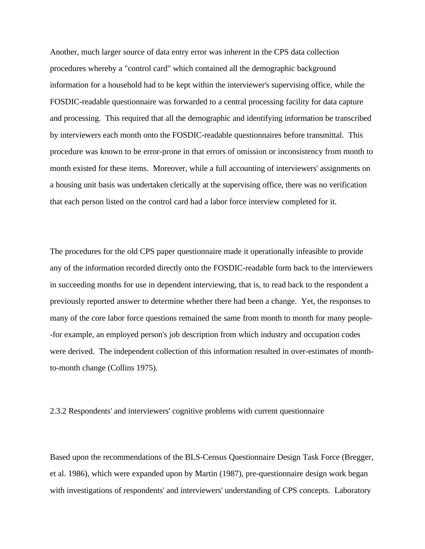Another, much larger source of data entry error was inherent in the CPS data collection procedures whereby a "control card" which contained all the demographic background information for a household had to be kept within the interviewer's supervising office, while the FOSDIC-readable questionnaire was forwarded to a central processing facility for data capture and processing. This required that all the demographic and identifying information be transcribed by interviewers each month onto the FOSDIC-readable questionnaires before transmittal. This procedure was known to be error-prone in that errors of omission or inconsistency from month to month existed for these items. Moreover, while a full accounting of interviewers' assignments on a housing unit basis was undertaken clerically at the supervising office, there was no verification that each person listed on the control card had a labor force interview completed for it.

The procedures for the old CPS paper questionnaire made it operationally infeasible to provide any of the information recorded directly onto the FOSDIC-readable form back to the interviewers in succeeding months for use in dependent interviewing, that is, to read back to the respondent a previously reported answer to determine whether there had been a change. Yet, the responses to many of the core labor force questions remained the same from month to month for many people- -for example, an employed person's job description from which industry and occupation codes were derived. The independent collection of this information resulted in over-estimates of monthto-month change (Collins 1975).

2.3.2 Respondents' and interviewers' cognitive problems with current questionnaire

Based upon the recommendations of the BLS-Census Questionnaire Design Task Force (Bregger, et al. 1986), which were expanded upon by Martin (1987), pre-questionnaire design work began with investigations of respondents' and interviewers' understanding of CPS concepts. Laboratory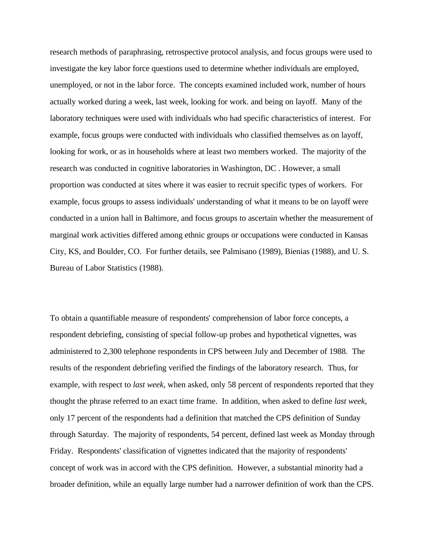research methods of paraphrasing, retrospective protocol analysis, and focus groups were used to investigate the key labor force questions used to determine whether individuals are employed, unemployed, or not in the labor force. The concepts examined included work, number of hours actually worked during a week, last week, looking for work. and being on layoff. Many of the laboratory techniques were used with individuals who had specific characteristics of interest. For example, focus groups were conducted with individuals who classified themselves as on layoff, looking for work, or as in households where at least two members worked. The majority of the research was conducted in cognitive laboratories in Washington, DC . However, a small proportion was conducted at sites where it was easier to recruit specific types of workers. For example, focus groups to assess individuals' understanding of what it means to be on layoff were conducted in a union hall in Baltimore, and focus groups to ascertain whether the measurement of marginal work activities differed among ethnic groups or occupations were conducted in Kansas City, KS, and Boulder, CO. For further details, see Palmisano (1989), Bienias (1988), and U. S. Bureau of Labor Statistics (1988).

To obtain a quantifiable measure of respondents' comprehension of labor force concepts, a respondent debriefing, consisting of special follow-up probes and hypothetical vignettes, was administered to 2,300 telephone respondents in CPS between July and December of 1988. The results of the respondent debriefing verified the findings of the laboratory research. Thus, for example, with respect to *last week,* when asked, only 58 percent of respondents reported that they thought the phrase referred to an exact time frame. In addition, when asked to define *last week,* only 17 percent of the respondents had a definition that matched the CPS definition of Sunday through Saturday. The majority of respondents, 54 percent, defined last week as Monday through Friday. Respondents' classification of vignettes indicated that the majority of respondents' concept of work was in accord with the CPS definition. However, a substantial minority had a broader definition, while an equally large number had a narrower definition of work than the CPS.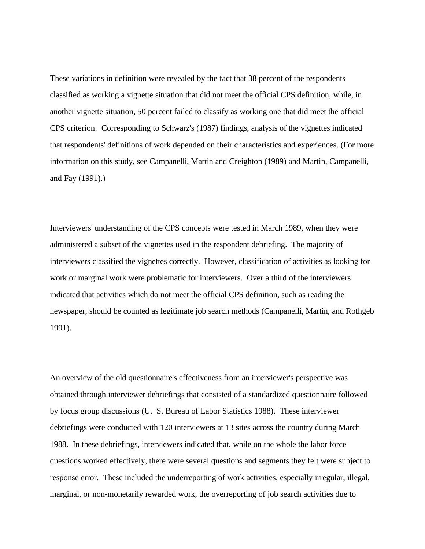These variations in definition were revealed by the fact that 38 percent of the respondents classified as working a vignette situation that did not meet the official CPS definition, while, in another vignette situation, 50 percent failed to classify as working one that did meet the official CPS criterion. Corresponding to Schwarz's (1987) findings, analysis of the vignettes indicated that respondents' definitions of work depended on their characteristics and experiences. (For more information on this study, see Campanelli, Martin and Creighton (1989) and Martin, Campanelli, and Fay (1991).)

Interviewers' understanding of the CPS concepts were tested in March 1989, when they were administered a subset of the vignettes used in the respondent debriefing. The majority of interviewers classified the vignettes correctly. However, classification of activities as looking for work or marginal work were problematic for interviewers. Over a third of the interviewers indicated that activities which do not meet the official CPS definition, such as reading the newspaper, should be counted as legitimate job search methods (Campanelli, Martin, and Rothgeb 1991).

An overview of the old questionnaire's effectiveness from an interviewer's perspective was obtained through interviewer debriefings that consisted of a standardized questionnaire followed by focus group discussions (U. S. Bureau of Labor Statistics 1988). These interviewer debriefings were conducted with 120 interviewers at 13 sites across the country during March 1988. In these debriefings, interviewers indicated that, while on the whole the labor force questions worked effectively, there were several questions and segments they felt were subject to response error. These included the underreporting of work activities, especially irregular, illegal, marginal, or non-monetarily rewarded work, the overreporting of job search activities due to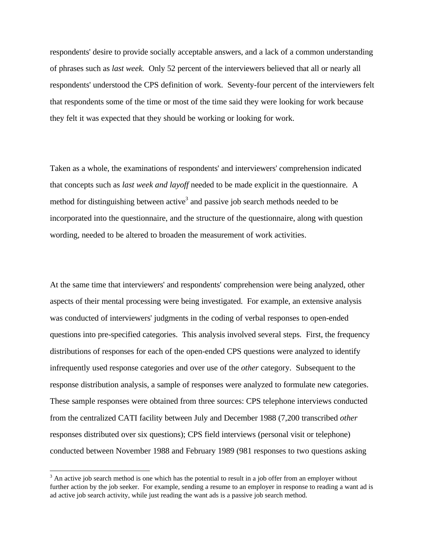respondents' desire to provide socially acceptable answers, and a lack of a common understanding of phrases such as *last week.* Only 52 percent of the interviewers believed that all or nearly all respondents' understood the CPS definition of work. Seventy-four percent of the interviewers felt that respondents some of the time or most of the time said they were looking for work because they felt it was expected that they should be working or looking for work.

Taken as a whole, the examinations of respondents' and interviewers' comprehension indicated that concepts such as *last week and layoff* needed to be made explicit in the questionnaire. A method for distinguishing between active<sup>3</sup> and passive job search methods needed to be incorporated into the questionnaire, and the structure of the questionnaire, along with question wording, needed to be altered to broaden the measurement of work activities.

At the same time that interviewers' and respondents' comprehension were being analyzed, other aspects of their mental processing were being investigated. For example, an extensive analysis was conducted of interviewers' judgments in the coding of verbal responses to open-ended questions into pre-specified categories. This analysis involved several steps. First, the frequency distributions of responses for each of the open-ended CPS questions were analyzed to identify infrequently used response categories and over use of the *other* category. Subsequent to the response distribution analysis, a sample of responses were analyzed to formulate new categories. These sample responses were obtained from three sources: CPS telephone interviews conducted from the centralized CATI facility between July and December 1988 (7,200 transcribed *other* responses distributed over six questions); CPS field interviews (personal visit or telephone) conducted between November 1988 and February 1989 (981 responses to two questions asking

 $\overline{a}$ 

 $3$  An active job search method is one which has the potential to result in a job offer from an employer without further action by the job seeker. For example, sending a resume to an employer in response to reading a want ad is ad active job search activity, while just reading the want ads is a passive job search method.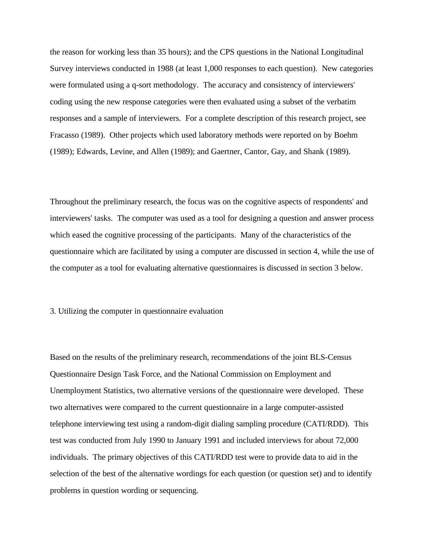the reason for working less than 35 hours); and the CPS questions in the National Longitudinal Survey interviews conducted in 1988 (at least 1,000 responses to each question). New categories were formulated using a q-sort methodology. The accuracy and consistency of interviewers' coding using the new response categories were then evaluated using a subset of the verbatim responses and a sample of interviewers. For a complete description of this research project, see Fracasso (1989). Other projects which used laboratory methods were reported on by Boehm (1989); Edwards, Levine, and Allen (1989); and Gaertner, Cantor, Gay, and Shank (1989).

Throughout the preliminary research, the focus was on the cognitive aspects of respondents' and interviewers' tasks. The computer was used as a tool for designing a question and answer process which eased the cognitive processing of the participants. Many of the characteristics of the questionnaire which are facilitated by using a computer are discussed in section 4, while the use of the computer as a tool for evaluating alternative questionnaires is discussed in section 3 below.

#### 3. Utilizing the computer in questionnaire evaluation

Based on the results of the preliminary research, recommendations of the joint BLS-Census Questionnaire Design Task Force, and the National Commission on Employment and Unemployment Statistics, two alternative versions of the questionnaire were developed. These two alternatives were compared to the current questionnaire in a large computer-assisted telephone interviewing test using a random-digit dialing sampling procedure (CATI/RDD). This test was conducted from July 1990 to January 1991 and included interviews for about 72,000 individuals. The primary objectives of this CATI/RDD test were to provide data to aid in the selection of the best of the alternative wordings for each question (or question set) and to identify problems in question wording or sequencing.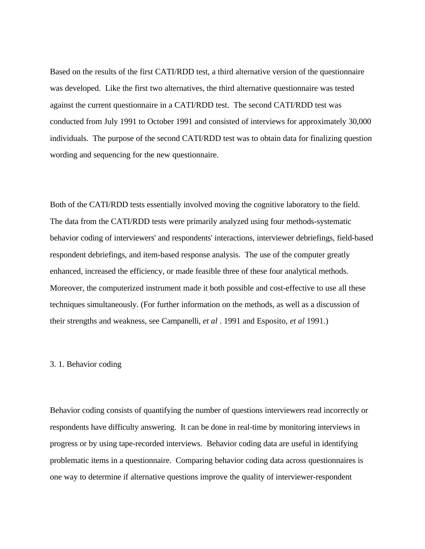Based on the results of the first CATI/RDD test, a third alternative version of the questionnaire was developed. Like the first two alternatives, the third alternative questionnaire was tested against the current questionnaire in a CATI/RDD test. The second CATI/RDD test was conducted from July 1991 to October 1991 and consisted of interviews for approximately 30,000 individuals. The purpose of the second CATI/RDD test was to obtain data for finalizing question wording and sequencing for the new questionnaire.

Both of the CATI/RDD tests essentially involved moving the cognitive laboratory to the field. The data from the CATI/RDD tests were primarily analyzed using four methods-systematic behavior coding of interviewers' and respondents' interactions, interviewer debriefings, field-based respondent debriefings, and item-based response analysis. The use of the computer greatly enhanced, increased the efficiency, or made feasible three of these four analytical methods. Moreover, the computerized instrument made it both possible and cost-effective to use all these techniques simultaneously. (For further information on the methods, as well as a discussion of their strengths and weakness, see Campanelli, *et al* . 1991 and Esposito, *et al* 1991.)

#### 3. 1. Behavior coding

Behavior coding consists of quantifying the number of questions interviewers read incorrectly or respondents have difficulty answering. It can be done in real-time by monitoring interviews in progress or by using tape-recorded interviews. Behavior coding data are useful in identifying problematic items in a questionnaire. Comparing behavior coding data across questionnaires is one way to determine if alternative questions improve the quality of interviewer-respondent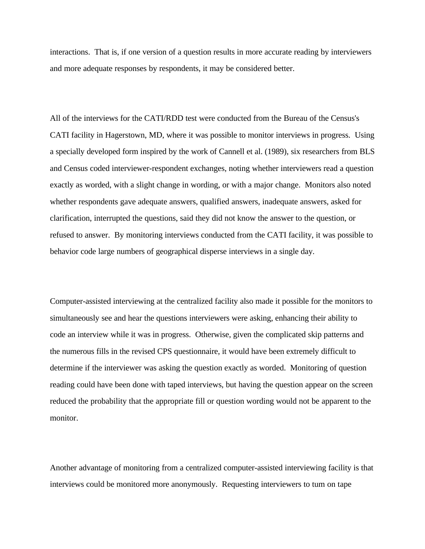interactions. That is, if one version of a question results in more accurate reading by interviewers and more adequate responses by respondents, it may be considered better.

All of the interviews for the CATI/RDD test were conducted from the Bureau of the Census's CATI facility in Hagerstown, MD, where it was possible to monitor interviews in progress. Using a specially developed form inspired by the work of Cannell et al. (1989), six researchers from BLS and Census coded interviewer-respondent exchanges, noting whether interviewers read a question exactly as worded, with a slight change in wording, or with a major change. Monitors also noted whether respondents gave adequate answers, qualified answers, inadequate answers, asked for clarification, interrupted the questions, said they did not know the answer to the question, or refused to answer. By monitoring interviews conducted from the CATI facility, it was possible to behavior code large numbers of geographical disperse interviews in a single day.

Computer-assisted interviewing at the centralized facility also made it possible for the monitors to simultaneously see and hear the questions interviewers were asking, enhancing their ability to code an interview while it was in progress. Otherwise, given the complicated skip patterns and the numerous fills in the revised CPS questionnaire, it would have been extremely difficult to determine if the interviewer was asking the question exactly as worded. Monitoring of question reading could have been done with taped interviews, but having the question appear on the screen reduced the probability that the appropriate fill or question wording would not be apparent to the monitor.

Another advantage of monitoring from a centralized computer-assisted interviewing facility is that interviews could be monitored more anonymously. Requesting interviewers to tum on tape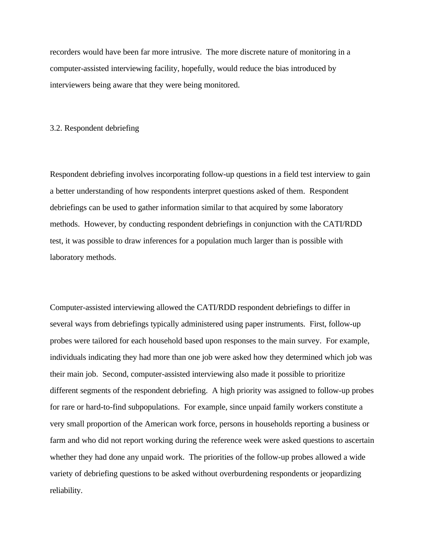recorders would have been far more intrusive. The more discrete nature of monitoring in a computer-assisted interviewing facility, hopefully, would reduce the bias introduced by interviewers being aware that they were being monitored.

#### 3.2. Respondent debriefing

Respondent debriefing involves incorporating follow-up questions in a field test interview to gain a better understanding of how respondents interpret questions asked of them. Respondent debriefings can be used to gather information similar to that acquired by some laboratory methods. However, by conducting respondent debriefings in conjunction with the CATI/RDD test, it was possible to draw inferences for a population much larger than is possible with laboratory methods.

Computer-assisted interviewing allowed the CATI/RDD respondent debriefings to differ in several ways from debriefings typically administered using paper instruments. First, follow-up probes were tailored for each household based upon responses to the main survey. For example, individuals indicating they had more than one job were asked how they determined which job was their main job. Second, computer-assisted interviewing also made it possible to prioritize different segments of the respondent debriefing. A high priority was assigned to follow-up probes for rare or hard-to-find subpopulations. For example, since unpaid family workers constitute a very small proportion of the American work force, persons in households reporting a business or farm and who did not report working during the reference week were asked questions to ascertain whether they had done any unpaid work. The priorities of the follow-up probes allowed a wide variety of debriefing questions to be asked without overburdening respondents or jeopardizing reliability.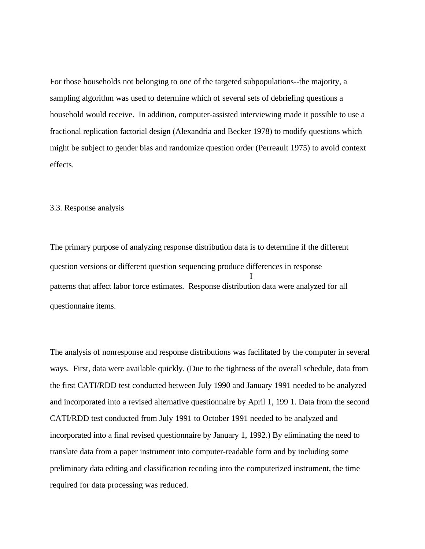For those households not belonging to one of the targeted subpopulations--the majority, a sampling algorithm was used to determine which of several sets of debriefing questions a household would receive. In addition, computer-assisted interviewing made it possible to use a fractional replication factorial design (Alexandria and Becker 1978) to modify questions which might be subject to gender bias and randomize question order (Perreault 1975) to avoid context effects.

# 3.3. Response analysis

The primary purpose of analyzing response distribution data is to determine if the different question versions or different question sequencing produce differences in response I patterns that affect labor force estimates. Response distribution data were analyzed for all questionnaire items.

The analysis of nonresponse and response distributions was facilitated by the computer in several ways. First, data were available quickly. (Due to the tightness of the overall schedule, data from the first CATI/RDD test conducted between July 1990 and January 1991 needed to be analyzed and incorporated into a revised alternative questionnaire by April 1, 199 1. Data from the second CATI/RDD test conducted from July 1991 to October 1991 needed to be analyzed and incorporated into a final revised questionnaire by January 1, 1992.) By eliminating the need to translate data from a paper instrument into computer-readable form and by including some preliminary data editing and classification recoding into the computerized instrument, the time required for data processing was reduced.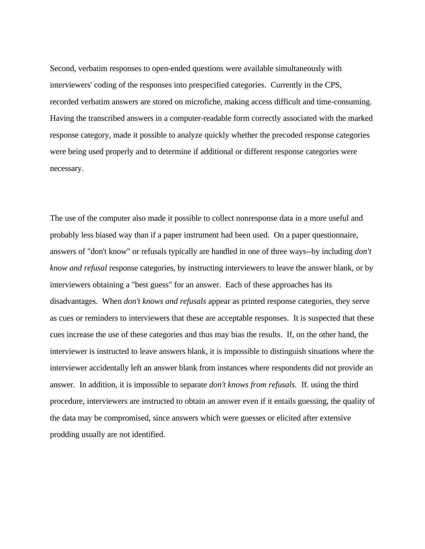Second, verbatim responses to open-ended questions were available simultaneously with interviewers' coding of the responses into prespecified categories. Currently in the CPS, recorded verbatim answers are stored on microfiche, making access difficult and time-consuming. Having the transcribed answers in a computer-readable form correctly associated with the marked response category, made it possible to analyze quickly whether the precoded response categories were being used properly and to determine if additional or different response categories were necessary.

The use of the computer also made it possible to collect nonresponse data in a more useful and probably less biased way than if a paper instrument had been used. On a paper questionnaire, answers of "don't know" or refusals typically are handled in one of three ways--by including *don't know and refusal* response categories, by instructing interviewers to leave the answer blank, or by interviewers obtaining a "best guess" for an answer. Each of these approaches has its disadvantages. When *don't knows and refusals* appear as printed response categories, they serve as cues or reminders to interviewers that these are acceptable responses. It is suspected that these cues increase the use of these categories and thus may bias the results. If, on the other hand, the interviewer is instructed to leave answers blank, it is impossible to distinguish situations where the interviewer accidentally left an answer blank from instances where respondents did not provide an answer. In addition, it is impossible to separate *don't knows from refusals.* If. using the third procedure, interviewers are instructed to obtain an answer even if it entails guessing, the quality of the data may be compromised, since answers which were guesses or elicited after extensive prodding usually are not identified.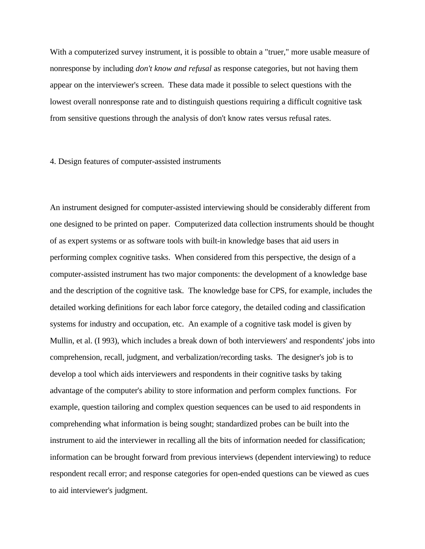With a computerized survey instrument, it is possible to obtain a "truer," more usable measure of nonresponse by including *don't know and refusal* as response categories, but not having them appear on the interviewer's screen. These data made it possible to select questions with the lowest overall nonresponse rate and to distinguish questions requiring a difficult cognitive task from sensitive questions through the analysis of don't know rates versus refusal rates.

### 4. Design features of computer-assisted instruments

An instrument designed for computer-assisted interviewing should be considerably different from one designed to be printed on paper. Computerized data collection instruments should be thought of as expert systems or as software tools with built-in knowledge bases that aid users in performing complex cognitive tasks. When considered from this perspective, the design of a computer-assisted instrument has two major components: the development of a knowledge base and the description of the cognitive task. The knowledge base for CPS, for example, includes the detailed working definitions for each labor force category, the detailed coding and classification systems for industry and occupation, etc. An example of a cognitive task model is given by Mullin, et al. (I 993), which includes a break down of both interviewers' and respondents' jobs into comprehension, recall, judgment, and verbalization/recording tasks. The designer's job is to develop a tool which aids interviewers and respondents in their cognitive tasks by taking advantage of the computer's ability to store information and perform complex functions. For example, question tailoring and complex question sequences can be used to aid respondents in comprehending what information is being sought; standardized probes can be built into the instrument to aid the interviewer in recalling all the bits of information needed for classification; information can be brought forward from previous interviews (dependent interviewing) to reduce respondent recall error; and response categories for open-ended questions can be viewed as cues to aid interviewer's judgment.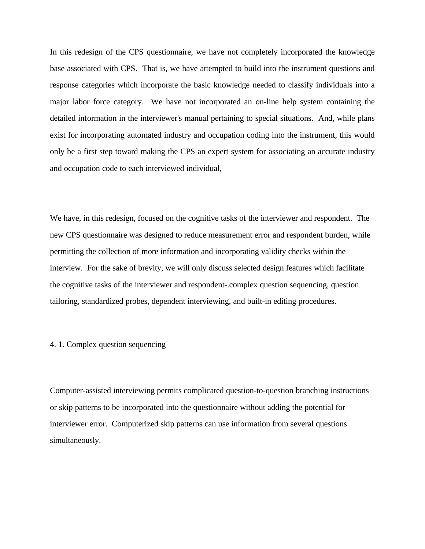In this redesign of the CPS questionnaire, we have not completely incorporated the knowledge base associated with CPS. That is, we have attempted to build into the instrument questions and response categories which incorporate the basic knowledge needed to classify individuals into a major labor force category. We have not incorporated an on-line help system containing the detailed information in the interviewer's manual pertaining to special situations. And, while plans exist for incorporating automated industry and occupation coding into the instrument, this would only be a first step toward making the CPS an expert system for associating an accurate industry and occupation code to each interviewed individual,

We have, in this redesign, focused on the cognitive tasks of the interviewer and respondent. The new CPS questionnaire was designed to reduce measurement error and respondent burden, while permitting the collection of more information and incorporating validity checks within the interview. For the sake of brevity, we will only discuss selected design features which facilitate the cognitive tasks of the interviewer and respondent-.complex question sequencing, question tailoring, standardized probes, dependent interviewing, and built-in editing procedures.

# 4. 1. Complex question sequencing

Computer-assisted interviewing permits complicated question-to-question branching instructions or skip patterns to be incorporated into the questionnaire without adding the potential for interviewer error. Computerized skip patterns can use information from several questions simultaneously.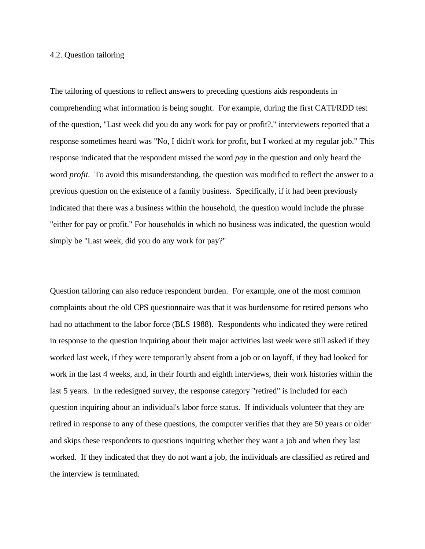#### 4.2. Question tailoring

The tailoring of questions to reflect answers to preceding questions aids respondents in comprehending what information is being sought. For example, during the first CATI/RDD test of the question, "Last week did you do any work for pay or profit?," interviewers reported that a response sometimes heard was "No, I didn't work for profit, but I worked at my regular job." This response indicated that the respondent missed the word *pay* in the question and only heard the word *profit*. To avoid this misunderstanding, the question was modified to reflect the answer to a previous question on the existence of a family business. Specifically, if it had been previously indicated that there was a business within the household, the question would include the phrase "either for pay or profit." For households in which no business was indicated, the question would simply be "Last week, did you do any work for pay?"

Question tailoring can also reduce respondent burden. For example, one of the most common complaints about the old CPS questionnaire was that it was burdensome for retired persons who had no attachment to the labor force (BLS 1988). Respondents who indicated they were retired in response to the question inquiring about their major activities last week were still asked if they worked last week, if they were temporarily absent from a job or on layoff, if they had looked for work in the last 4 weeks, and, in their fourth and eighth interviews, their work histories within the last 5 years. In the redesigned survey, the response category "retired" is included for each question inquiring about an individual's labor force status. If individuals volunteer that they are retired in response to any of these questions, the computer verifies that they are 50 years or older and skips these respondents to questions inquiring whether they want a job and when they last worked. If they indicated that they do not want a job, the individuals are classified as retired and the interview is terminated.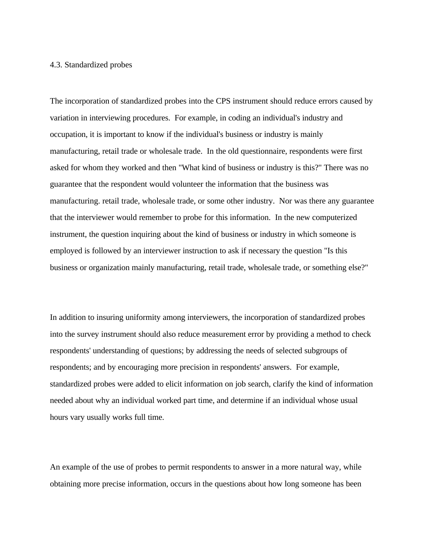### 4.3. Standardized probes

The incorporation of standardized probes into the CPS instrument should reduce errors caused by variation in interviewing procedures. For example, in coding an individual's industry and occupation, it is important to know if the individual's business or industry is mainly manufacturing, retail trade or wholesale trade. In the old questionnaire, respondents were first asked for whom they worked and then "What kind of business or industry is this?" There was no guarantee that the respondent would volunteer the information that the business was manufacturing. retail trade, wholesale trade, or some other industry. Nor was there any guarantee that the interviewer would remember to probe for this information. In the new computerized instrument, the question inquiring about the kind of business or industry in which someone is employed is followed by an interviewer instruction to ask if necessary the question "Is this business or organization mainly manufacturing, retail trade, wholesale trade, or something else?"

In addition to insuring uniformity among interviewers, the incorporation of standardized probes into the survey instrument should also reduce measurement error by providing a method to check respondents' understanding of questions; by addressing the needs of selected subgroups of respondents; and by encouraging more precision in respondents' answers. For example, standardized probes were added to elicit information on job search, clarify the kind of information needed about why an individual worked part time, and determine if an individual whose usual hours vary usually works full time.

An example of the use of probes to permit respondents to answer in a more natural way, while obtaining more precise information, occurs in the questions about how long someone has been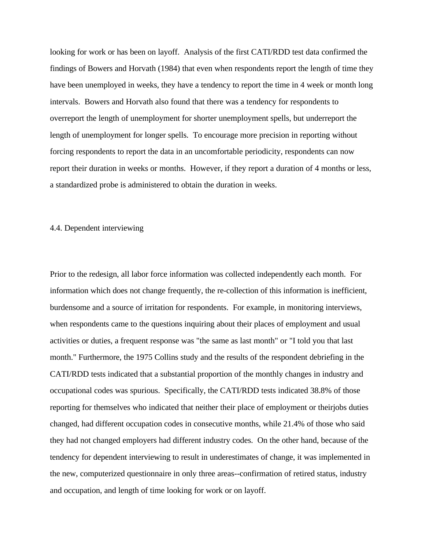looking for work or has been on layoff. Analysis of the first CATI/RDD test data confirmed the findings of Bowers and Horvath (1984) that even when respondents report the length of time they have been unemployed in weeks, they have a tendency to report the time in 4 week or month long intervals. Bowers and Horvath also found that there was a tendency for respondents to overreport the length of unemployment for shorter unemployment spells, but underreport the length of unemployment for longer spells. To encourage more precision in reporting without forcing respondents to report the data in an uncomfortable periodicity, respondents can now report their duration in weeks or months. However, if they report a duration of 4 months or less, a standardized probe is administered to obtain the duration in weeks.

# 4.4. Dependent interviewing

Prior to the redesign, all labor force information was collected independently each month. For information which does not change frequently, the re-collection of this information is inefficient, burdensome and a source of irritation for respondents. For example, in monitoring interviews, when respondents came to the questions inquiring about their places of employment and usual activities or duties, a frequent response was "the same as last month" or "I told you that last month." Furthermore, the 1975 Collins study and the results of the respondent debriefing in the CATI/RDD tests indicated that a substantial proportion of the monthly changes in industry and occupational codes was spurious. Specifically, the CATI/RDD tests indicated 38.8% of those reporting for themselves who indicated that neither their place of employment or theirjobs duties changed, had different occupation codes in consecutive months, while 21.4% of those who said they had not changed employers had different industry codes. On the other hand, because of the tendency for dependent interviewing to result in underestimates of change, it was implemented in the new, computerized questionnaire in only three areas--confirmation of retired status, industry and occupation, and length of time looking for work or on layoff.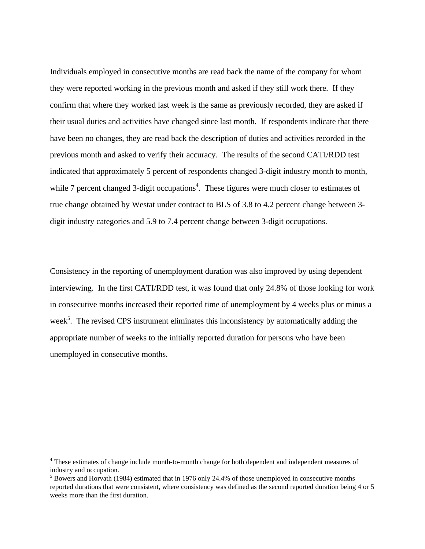Individuals employed in consecutive months are read back the name of the company for whom they were reported working in the previous month and asked if they still work there. If they confirm that where they worked last week is the same as previously recorded, they are asked if their usual duties and activities have changed since last month. If respondents indicate that there have been no changes, they are read back the description of duties and activities recorded in the previous month and asked to verify their accuracy. The results of the second CATI/RDD test indicated that approximately 5 percent of respondents changed 3-digit industry month to month, while 7 percent changed 3-digit occupations<sup>4</sup>. These figures were much closer to estimates of true change obtained by Westat under contract to BLS of 3.8 to 4.2 percent change between 3 digit industry categories and 5.9 to 7.4 percent change between 3-digit occupations.

Consistency in the reporting of unemployment duration was also improved by using dependent interviewing. In the first CATI/RDD test, it was found that only 24.8% of those looking for work in consecutive months increased their reported time of unemployment by 4 weeks plus or minus a week<sup>5</sup>. The revised CPS instrument eliminates this inconsistency by automatically adding the appropriate number of weeks to the initially reported duration for persons who have been unemployed in consecutive months.

-

<sup>4</sup> These estimates of change include month-to-month change for both dependent and independent measures of industry and occupation.

<sup>&</sup>lt;sup>5</sup> Bowers and Horvath (1984) estimated that in 1976 only 24.4% of those unemployed in consecutive months reported durations that were consistent, where consistency was defined as the second reported duration being 4 or 5 weeks more than the first duration.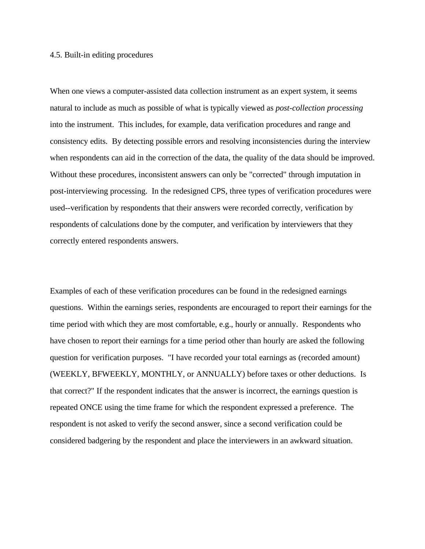### 4.5. Built-in editing procedures

When one views a computer-assisted data collection instrument as an expert system, it seems natural to include as much as possible of what is typically viewed as *post-collection processing* into the instrument. This includes, for example, data verification procedures and range and consistency edits. By detecting possible errors and resolving inconsistencies during the interview when respondents can aid in the correction of the data, the quality of the data should be improved. Without these procedures, inconsistent answers can only be "corrected" through imputation in post-interviewing processing. In the redesigned CPS, three types of verification procedures were used--verification by respondents that their answers were recorded correctly, verification by respondents of calculations done by the computer, and verification by interviewers that they correctly entered respondents answers.

Examples of each of these verification procedures can be found in the redesigned earnings questions. Within the earnings series, respondents are encouraged to report their earnings for the time period with which they are most comfortable, e.g., hourly or annually. Respondents who have chosen to report their earnings for a time period other than hourly are asked the following question for verification purposes. "I have recorded your total earnings as (recorded amount) (WEEKLY, BFWEEKLY, MONTHLY, or ANNUALLY) before taxes or other deductions. Is that correct?" If the respondent indicates that the answer is incorrect, the earnings question is repeated ONCE using the time frame for which the respondent expressed a preference. The respondent is not asked to verify the second answer, since a second verification could be considered badgering by the respondent and place the interviewers in an awkward situation.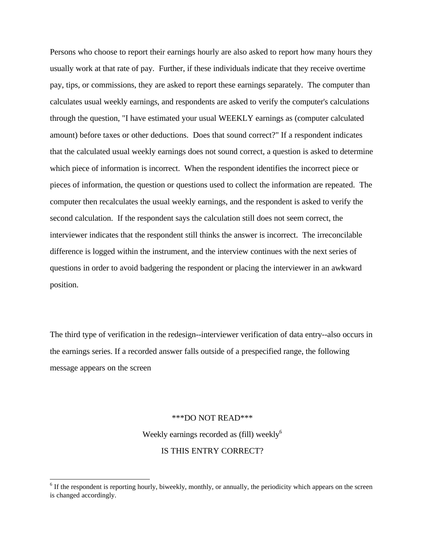Persons who choose to report their earnings hourly are also asked to report how many hours they usually work at that rate of pay. Further, if these individuals indicate that they receive overtime pay, tips, or commissions, they are asked to report these earnings separately. The computer than calculates usual weekly earnings, and respondents are asked to verify the computer's calculations through the question, "I have estimated your usual WEEKLY earnings as (computer calculated amount) before taxes or other deductions. Does that sound correct?" If a respondent indicates that the calculated usual weekly earnings does not sound correct, a question is asked to determine which piece of information is incorrect. When the respondent identifies the incorrect piece or pieces of information, the question or questions used to collect the information are repeated. The computer then recalculates the usual weekly earnings, and the respondent is asked to verify the second calculation. If the respondent says the calculation still does not seem correct, the interviewer indicates that the respondent still thinks the answer is incorrect. The irreconcilable difference is logged within the instrument, and the interview continues with the next series of questions in order to avoid badgering the respondent or placing the interviewer in an awkward position.

The third type of verification in the redesign--interviewer verification of data entry--also occurs in the earnings series. If a recorded answer falls outside of a prespecified range, the following message appears on the screen

#### \*\*\*DO NOT READ\*\*\*

Weekly earnings recorded as (fill) weekly<sup>6</sup> IS THIS ENTRY CORRECT?

 $\overline{a}$ 

<sup>&</sup>lt;sup>6</sup> If the respondent is reporting hourly, biweekly, monthly, or annually, the periodicity which appears on the screen is changed accordingly.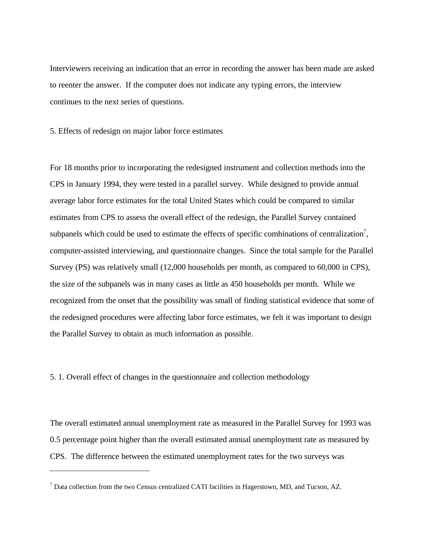Interviewers receiving an indication that an error in recording the answer has been made are asked to reenter the answer. If the computer does not indicate any typing errors, the interview continues to the next series of questions.

5. Effects of redesign on major labor force estimates

For 18 months prior to incorporating the redesigned instrument and collection methods into the CPS in January 1994, they were tested in a parallel survey. While designed to provide annual average labor force estimates for the total United States which could be compared to similar estimates from CPS to assess the overall effect of the redesign, the Parallel Survey contained subpanels which could be used to estimate the effects of specific combinations of centralization<sup>7</sup>, computer-assisted interviewing, and questionnaire changes. Since the total sample for the Parallel Survey (PS) was relatively small (12,000 households per month, as compared to 60,000 in CPS), the size of the subpanels was in many cases as little as 450 households per month. While we recognized from the onset that the possibility was small of finding statistical evidence that some of the redesigned procedures were affecting labor force estimates, we felt it was important to design the Parallel Survey to obtain as much information as possible.

5. 1. Overall effect of changes in the questionnaire and collection methodology

 $\overline{a}$ 

The overall estimated annual unemployment rate as measured in the Parallel Survey for 1993 was 0.5 percentage point higher than the overall estimated annual unemployment rate as measured by CPS. The difference between the estimated unemployment rates for the two surveys was

 $<sup>7</sup>$  Data collection from the two Census centralized CATI facilities in Hagerstown, MD, and Tucson, AZ.</sup>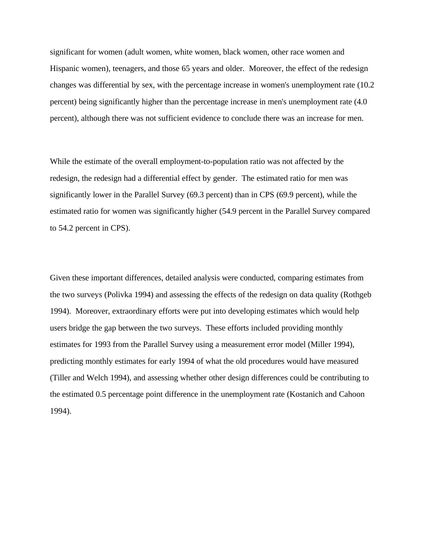significant for women (adult women, white women, black women, other race women and Hispanic women), teenagers, and those 65 years and older. Moreover, the effect of the redesign changes was differential by sex, with the percentage increase in women's unemployment rate (10.2 percent) being significantly higher than the percentage increase in men's unemployment rate (4.0 percent), although there was not sufficient evidence to conclude there was an increase for men.

While the estimate of the overall employment-to-population ratio was not affected by the redesign, the redesign had a differential effect by gender. The estimated ratio for men was significantly lower in the Parallel Survey (69.3 percent) than in CPS (69.9 percent), while the estimated ratio for women was significantly higher (54.9 percent in the Parallel Survey compared to 54.2 percent in CPS).

Given these important differences, detailed analysis were conducted, comparing estimates from the two surveys (Polivka 1994) and assessing the effects of the redesign on data quality (Rothgeb 1994). Moreover, extraordinary efforts were put into developing estimates which would help users bridge the gap between the two surveys. These efforts included providing monthly estimates for 1993 from the Parallel Survey using a measurement error model (Miller 1994), predicting monthly estimates for early 1994 of what the old procedures would have measured (Tiller and Welch 1994), and assessing whether other design differences could be contributing to the estimated 0.5 percentage point difference in the unemployment rate (Kostanich and Cahoon 1994).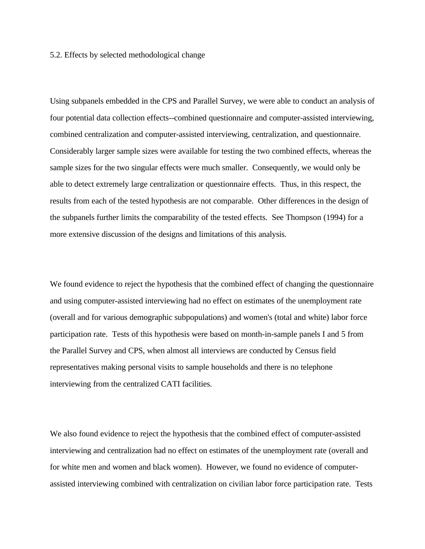# 5.2. Effects by selected methodological change

Using subpanels embedded in the CPS and Parallel Survey, we were able to conduct an analysis of four potential data collection effects--combined questionnaire and computer-assisted interviewing, combined centralization and computer-assisted interviewing, centralization, and questionnaire. Considerably larger sample sizes were available for testing the two combined effects, whereas the sample sizes for the two singular effects were much smaller. Consequently, we would only be able to detect extremely large centralization or questionnaire effects. Thus, in this respect, the results from each of the tested hypothesis are not comparable. Other differences in the design of the subpanels further limits the comparability of the tested effects. See Thompson (1994) for a more extensive discussion of the designs and limitations of this analysis.

We found evidence to reject the hypothesis that the combined effect of changing the questionnaire and using computer-assisted interviewing had no effect on estimates of the unemployment rate (overall and for various demographic subpopulations) and women's (total and white) labor force participation rate. Tests of this hypothesis were based on month-in-sample panels I and 5 from the Parallel Survey and CPS, when almost all interviews are conducted by Census field representatives making personal visits to sample households and there is no telephone interviewing from the centralized CATI facilities.

We also found evidence to reject the hypothesis that the combined effect of computer-assisted interviewing and centralization had no effect on estimates of the unemployment rate (overall and for white men and women and black women). However, we found no evidence of computerassisted interviewing combined with centralization on civilian labor force participation rate. Tests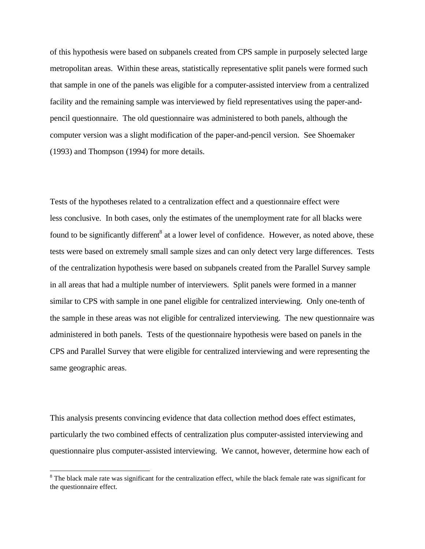of this hypothesis were based on subpanels created from CPS sample in purposely selected large metropolitan areas. Within these areas, statistically representative split panels were formed such that sample in one of the panels was eligible for a computer-assisted interview from a centralized facility and the remaining sample was interviewed by field representatives using the paper-andpencil questionnaire. The old questionnaire was administered to both panels, although the computer version was a slight modification of the paper-and-pencil version. See Shoemaker (1993) and Thompson (1994) for more details.

Tests of the hypotheses related to a centralization effect and a questionnaire effect were less conclusive. In both cases, only the estimates of the unemployment rate for all blacks were found to be significantly different<sup>8</sup> at a lower level of confidence. However, as noted above, these tests were based on extremely small sample sizes and can only detect very large differences. Tests of the centralization hypothesis were based on subpanels created from the Parallel Survey sample in all areas that had a multiple number of interviewers. Split panels were formed in a manner similar to CPS with sample in one panel eligible for centralized interviewing. Only one-tenth of the sample in these areas was not eligible for centralized interviewing. The new questionnaire was administered in both panels. Tests of the questionnaire hypothesis were based on panels in the CPS and Parallel Survey that were eligible for centralized interviewing and were representing the same geographic areas.

This analysis presents convincing evidence that data collection method does effect estimates, particularly the two combined effects of centralization plus computer-assisted interviewing and questionnaire plus computer-assisted interviewing. We cannot, however, determine how each of

 $\overline{a}$ 

<sup>&</sup>lt;sup>8</sup> The black male rate was significant for the centralization effect, while the black female rate was significant for the questionnaire effect.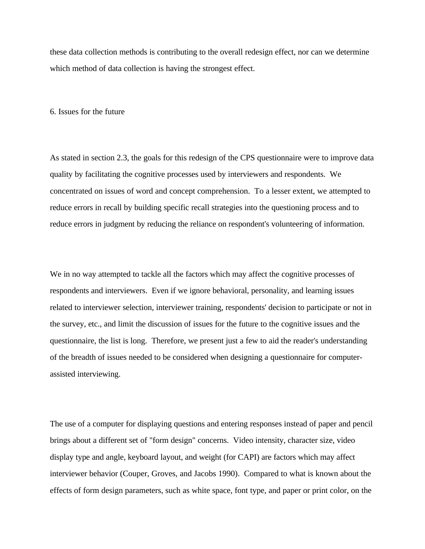these data collection methods is contributing to the overall redesign effect, nor can we determine which method of data collection is having the strongest effect.

6. Issues for the future

As stated in section 2.3, the goals for this redesign of the CPS questionnaire were to improve data quality by facilitating the cognitive processes used by interviewers and respondents. We concentrated on issues of word and concept comprehension. To a lesser extent, we attempted to reduce errors in recall by building specific recall strategies into the questioning process and to reduce errors in judgment by reducing the reliance on respondent's volunteering of information.

We in no way attempted to tackle all the factors which may affect the cognitive processes of respondents and interviewers. Even if we ignore behavioral, personality, and learning issues related to interviewer selection, interviewer training, respondents' decision to participate or not in the survey, etc., and limit the discussion of issues for the future to the cognitive issues and the questionnaire, the list is long. Therefore, we present just a few to aid the reader's understanding of the breadth of issues needed to be considered when designing a questionnaire for computerassisted interviewing.

The use of a computer for displaying questions and entering responses instead of paper and pencil brings about a different set of "form design" concerns. Video intensity, character size, video display type and angle, keyboard layout, and weight (for CAPI) are factors which may affect interviewer behavior (Couper, Groves, and Jacobs 1990). Compared to what is known about the effects of form design parameters, such as white space, font type, and paper or print color, on the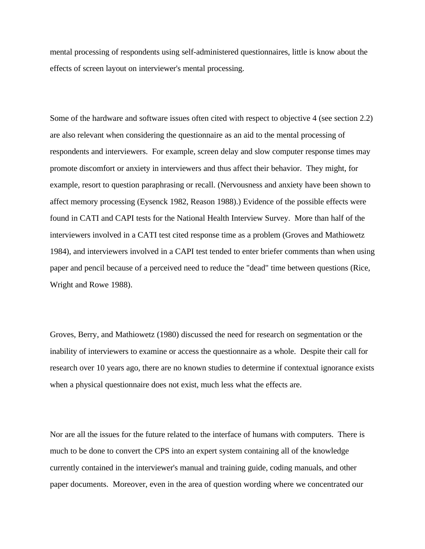mental processing of respondents using self-administered questionnaires, little is know about the effects of screen layout on interviewer's mental processing.

Some of the hardware and software issues often cited with respect to objective 4 (see section 2.2) are also relevant when considering the questionnaire as an aid to the mental processing of respondents and interviewers. For example, screen delay and slow computer response times may promote discomfort or anxiety in interviewers and thus affect their behavior. They might, for example, resort to question paraphrasing or recall. (Nervousness and anxiety have been shown to affect memory processing (Eysenck 1982, Reason 1988).) Evidence of the possible effects were found in CATI and CAPI tests for the National Health Interview Survey. More than half of the interviewers involved in a CATI test cited response time as a problem (Groves and Mathiowetz 1984), and interviewers involved in a CAPI test tended to enter briefer comments than when using paper and pencil because of a perceived need to reduce the "dead" time between questions (Rice, Wright and Rowe 1988).

Groves, Berry, and Mathiowetz (1980) discussed the need for research on segmentation or the inability of interviewers to examine or access the questionnaire as a whole. Despite their call for research over 10 years ago, there are no known studies to determine if contextual ignorance exists when a physical questionnaire does not exist, much less what the effects are.

Nor are all the issues for the future related to the interface of humans with computers. There is much to be done to convert the CPS into an expert system containing all of the knowledge currently contained in the interviewer's manual and training guide, coding manuals, and other paper documents. Moreover, even in the area of question wording where we concentrated our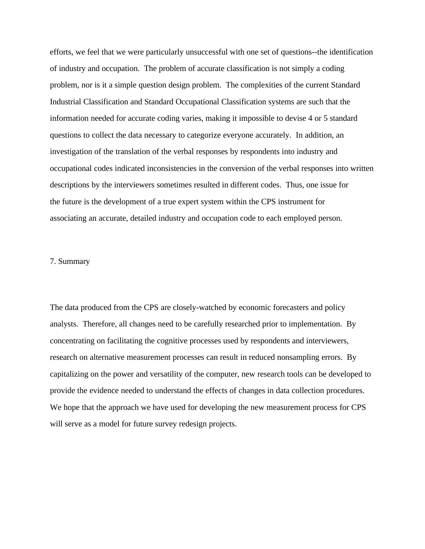efforts, we feel that we were particularly unsuccessful with one set of questions--the identification of industry and occupation. The problem of accurate classification is not simply a coding problem, nor is it a simple question design problem. The complexities of the current Standard Industrial Classification and Standard Occupational Classification systems are such that the information needed for accurate coding varies, making it impossible to devise 4 or 5 standard questions to collect the data necessary to categorize everyone accurately. In addition, an investigation of the translation of the verbal responses by respondents into industry and occupational codes indicated inconsistencies in the conversion of the verbal responses into written descriptions by the interviewers sometimes resulted in different codes. Thus, one issue for the future is the development of a true expert system within the CPS instrument for associating an accurate, detailed industry and occupation code to each employed person.

#### 7. Summary

The data produced from the CPS are closely-watched by economic forecasters and policy analysts. Therefore, all changes need to be carefully researched prior to implementation. By concentrating on facilitating the cognitive processes used by respondents and interviewers, research on alternative measurement processes can result in reduced nonsampling errors. By capitalizing on the power and versatility of the computer, new research tools can be developed to provide the evidence needed to understand the effects of changes in data collection procedures. We hope that the approach we have used for developing the new measurement process for CPS will serve as a model for future survey redesign projects.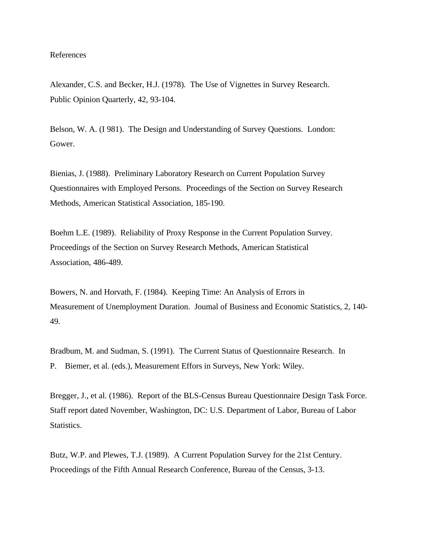# References

Alexander, C.S. and Becker, H.J. (1978). The Use of Vignettes in Survey Research. Public Opinion Quarterly, 42, 93-104.

Belson, W. A. (I 981). The Design and Understanding of Survey Questions. London: Gower.

Bienias, J. (1988). Preliminary Laboratory Research on Current Population Survey Questionnaires with Employed Persons. Proceedings of the Section on Survey Research Methods, American Statistical Association, 185-190.

Boehm L.E. (1989). Reliability of Proxy Response in the Current Population Survey. Proceedings of the Section on Survey Research Methods, American Statistical Association, 486-489.

Bowers, N. and Horvath, F. (1984). Keeping Time: An Analysis of Errors in Measurement of Unemployment Duration. Joumal of Business and Economic Statistics, 2, 140- 49.

Bradbum, M. and Sudman, S. (1991). The Current Status of Questionnaire Research. In P. Biemer, et al. (eds.), Measurement Effors in Surveys, New York: Wiley.

Bregger, J., et al. (1986). Report of the BLS-Census Bureau Questionnaire Design Task Force. Staff report dated November, Washington, DC: U.S. Department of Labor, Bureau of Labor Statistics.

Butz, W.P. and Plewes, T.J. (1989). A Current Population Survey for the 21st Century. Proceedings of the Fifth Annual Research Conference, Bureau of the Census, 3-13.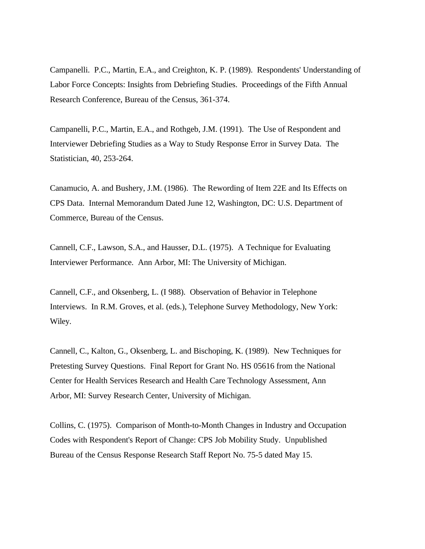Campanelli. P.C., Martin, E.A., and Creighton, K. P. (1989). Respondents' Understanding of Labor Force Concepts: Insights from Debriefing Studies. Proceedings of the Fifth Annual Research Conference, Bureau of the Census, 361-374.

Campanelli, P.C., Martin, E.A., and Rothgeb, J.M. (1991). The Use of Respondent and Interviewer Debriefing Studies as a Way to Study Response Error in Survey Data. The Statistician, 40, 253-264.

Canamucio, A. and Bushery, J.M. (1986). The Rewording of Item 22E and Its Effects on CPS Data. Internal Memorandum Dated June 12, Washington, DC: U.S. Department of Commerce, Bureau of the Census.

Cannell, C.F., Lawson, S.A., and Hausser, D.L. (1975). A Technique for Evaluating Interviewer Performance. Ann Arbor, MI: The University of Michigan.

Cannell, C.F., and Oksenberg, L. (I 988). Observation of Behavior in Telephone Interviews. In R.M. Groves, et al. (eds.), Telephone Survey Methodology, New York: Wiley.

Cannell, C., Kalton, G., Oksenberg, L. and Bischoping, K. (1989). New Techniques for Pretesting Survey Questions. Final Report for Grant No. HS 05616 from the National Center for Health Services Research and Health Care Technology Assessment, Ann Arbor, MI: Survey Research Center, University of Michigan.

Collins, C. (1975). Comparison of Month-to-Month Changes in Industry and Occupation Codes with Respondent's Report of Change: CPS Job Mobility Study. Unpublished Bureau of the Census Response Research Staff Report No. 75-5 dated May 15.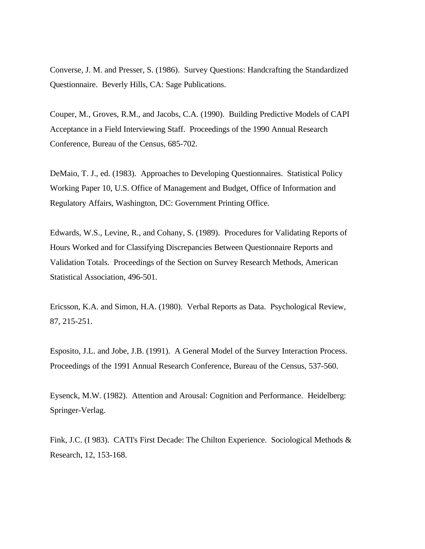Converse, J. M. and Presser, S. (1986). Survey Questions: Handcrafting the Standardized Questionnaire. Beverly Hills, CA: Sage Publications.

Couper, M., Groves, R.M., and Jacobs, C.A. (1990). Building Predictive Models of CAPI Acceptance in a Field Interviewing Staff. Proceedings of the 1990 Annual Research Conference, Bureau of the Census, 685-702.

DeMaio, T. J., ed. (1983). Approaches to Developing Questionnaires. Statistical Policy Working Paper 10, U.S. Office of Management and Budget, Office of Information and Regulatory Affairs, Washington, DC: Government Printing Office.

Edwards, W.S., Levine, R., and Cohany, S. (1989). Procedures for Validating Reports of Hours Worked and for Classifying Discrepancies Between Questionnaire Reports and Validation Totals. Proceedings of the Section on Survey Research Methods, American Statistical Association, 496-501.

Ericsson, K.A. and Simon, H.A. (1980). Verbal Reports as Data. Psychological Review, 87, 215-251.

Esposito, J.L. and Jobe, J.B. (1991). A General Model of the Survey Interaction Process. Proceedings of the 1991 Annual Research Conference, Bureau of the Census, 537-560.

Eysenck, M.W. (1982). Attention and Arousal: Cognition and Performance. Heidelberg: Springer-Verlag.

Fink, J.C. (I 983). CATI's First Decade: The Chilton Experience. Sociological Methods & Research, 12, 153-168.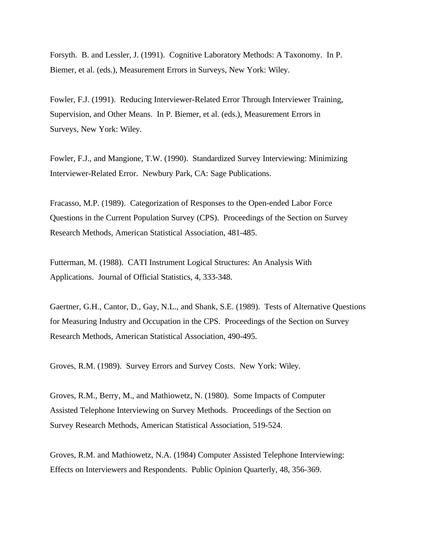Forsyth. B. and Lessler, J. (1991). Cognitive Laboratory Methods: A Taxonomy. In P. Biemer, et al. (eds.), Measurement Errors in Surveys, New York: Wiley.

Fowler, F.J. (1991). Reducing Interviewer-Related Error Through Interviewer Training, Supervision, and Other Means. In P. Biemer, et al. (eds.), Measurement Errors in Surveys, New York: Wiley.

Fowler, F.J., and Mangione, T.W. (1990). Standardized Survey Interviewing: Minimizing Interviewer-Related Error. Newbury Park, CA: Sage Publications.

Fracasso, M.P. (1989). Categorization of Responses to the Open-ended Labor Force Questions in the Current Population Survey (CPS). Proceedings of the Section on Survey Research Methods, American Statistical Association, 481-485.

Futterman, M. (1988). CATI Instrument Logical Structures: An Analysis With Applications. Journal of Official Statistics, 4, 333-348.

Gaertner, G.H., Cantor, D., Gay, N.L., and Shank, S.E. (1989). Tests of Alternative Questions for Measuring Industry and Occupation in the CPS. Proceedings of the Section on Survey Research Methods, American Statistical Association, 490-495.

Groves, R.M. (1989). Survey Errors and Survey Costs. New York: Wiley.

Groves, R.M., Berry, M., and Mathiowetz, N. (1980). Some Impacts of Computer Assisted Telephone Interviewing on Survey Methods. Proceedings of the Section on Survey Research Methods, American Statistical Association, 519-524.

Groves, R.M. and Mathiowetz, N.A. (1984) Computer Assisted Telephone Interviewing: Effects on Interviewers and Respondents. Public Opinion Quarterly, 48, 356-369.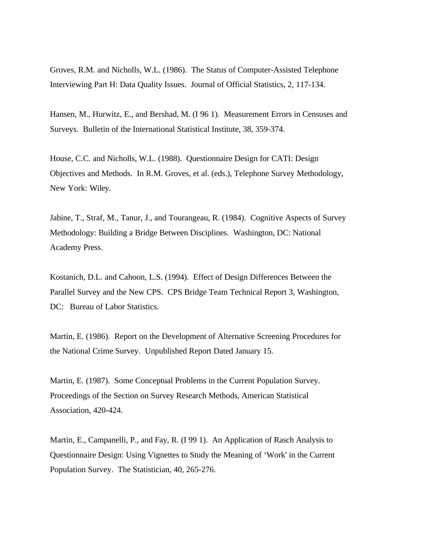Groves, R.M. and Nicholls, W.L. (1986). The Status of Computer-Assisted Telephone Interviewing Part H: Data Quality Issues. Journal of Official Statistics, 2, 117-134.

Hansen, M., Hurwitz, E., and Bershad, M. (I 96 1). Measurement Errors in Censuses and Surveys. Bulletin of the International Statistical Institute, 38, 359-374.

House, C.C. and Nicholls, W.L. (1988). Questionnaire Design for CATI: Design Objectives and Methods. In R.M. Groves, et al. (eds.), Telephone Survey Methodology, New York: Wiley.

Jabine, T., Straf, M., Tanur, J., and Tourangeau, R. (1984). Cognitive Aspects of Survey Methodology: Building a Bridge Between Disciplines. Washington, DC: National Academy Press.

Kostanich, D.L. and Cahoon, L.S. (1994). Effect of Design Differences Between the Parallel Survey and the New CPS. CPS Bridge Team Technical Report 3, Washington, DC: Bureau of Labor Statistics.

Martin, E. (1986). Report on the Development of Alternative Screening Procedures for the National Crime Survey. Unpublished Report Dated January 15.

Martin, E. (1987). Some Conceptual Problems in the Current Population Survey. Proceedings of the Section on Survey Research Methods, American Statistical Association, 420-424.

Martin, E., Campanelli, P., and Fay, R. (I 99 1). An Application of Rasch Analysis to Questionnaire Design: Using Vignettes to Study the Meaning of 'Work' in the Current Population Survey. The Statistician, 40, 265-276.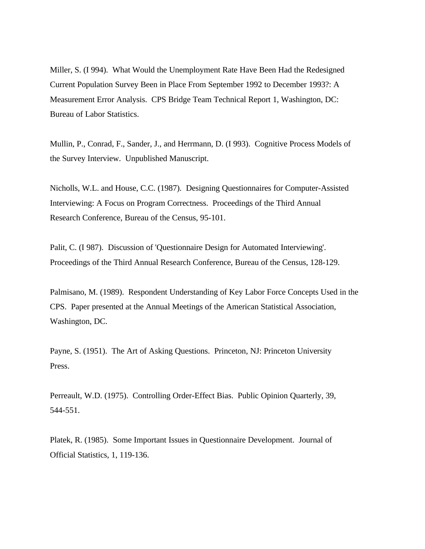Miller, S. (I 994). What Would the Unemployment Rate Have Been Had the Redesigned Current Population Survey Been in Place From September 1992 to December 1993?: A Measurement Error Analysis. CPS Bridge Team Technical Report 1, Washington, DC: Bureau of Labor Statistics.

Mullin, P., Conrad, F., Sander, J., and Herrmann, D. (I 993). Cognitive Process Models of the Survey Interview. Unpublished Manuscript.

Nicholls, W.L. and House, C.C. (1987). Designing Questionnaires for Computer-Assisted Interviewing: A Focus on Program Correctness. Proceedings of the Third Annual Research Conference, Bureau of the Census, 95-101.

Palit, C. (I 987). Discussion of 'Questionnaire Design for Automated Interviewing'. Proceedings of the Third Annual Research Conference, Bureau of the Census, 128-129.

Palmisano, M. (1989). Respondent Understanding of Key Labor Force Concepts Used in the CPS. Paper presented at the Annual Meetings of the American Statistical Association, Washington, DC.

Payne, S. (1951). The Art of Asking Questions. Princeton, NJ: Princeton University Press.

Perreault, W.D. (1975). Controlling Order-Effect Bias. Public Opinion Quarterly, 39, 544-551.

Platek, R. (1985). Some Important Issues in Questionnaire Development. Journal of Official Statistics, 1, 119-136.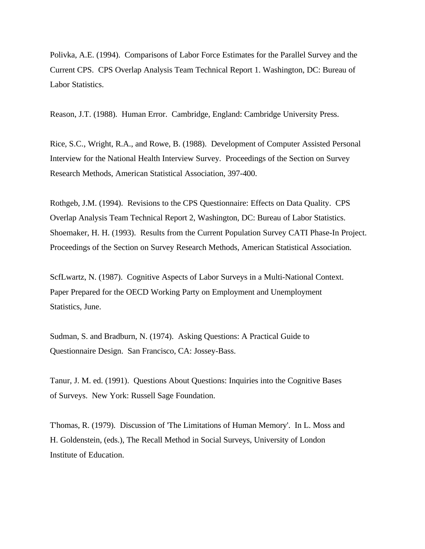Polivka, A.E. (1994). Comparisons of Labor Force Estimates for the Parallel Survey and the Current CPS. CPS Overlap Analysis Team Technical Report 1. Washington, DC: Bureau of Labor Statistics.

Reason, J.T. (1988). Human Error. Cambridge, England: Cambridge University Press.

Rice, S.C., Wright, R.A., and Rowe, B. (1988). Development of Computer Assisted Personal Interview for the National Health Interview Survey. Proceedings of the Section on Survey Research Methods, American Statistical Association, 397-400.

Rothgeb, J.M. (1994). Revisions to the CPS Questionnaire: Effects on Data Quality. CPS Overlap Analysis Team Technical Report 2, Washington, DC: Bureau of Labor Statistics. Shoemaker, H. H. (1993). Results from the Current Population Survey CATI Phase-In Project. Proceedings of the Section on Survey Research Methods, American Statistical Association.

ScfLwartz, N. (1987). Cognitive Aspects of Labor Surveys in a Multi-National Context. Paper Prepared for the OECD Working Party on Employment and Unemployment Statistics, June.

Sudman, S. and Bradburn, N. (1974). Asking Questions: A Practical Guide to Questionnaire Design. San Francisco, CA: Jossey-Bass.

Tanur, J. M. ed. (1991). Questions About Questions: Inquiries into the Cognitive Bases of Surveys. New York: Russell Sage Foundation.

T'homas, R. (1979). Discussion of 'The Limitations of Human Memory'. In L. Moss and H. Goldenstein, (eds.), The Recall Method in Social Surveys, University of London Institute of Education.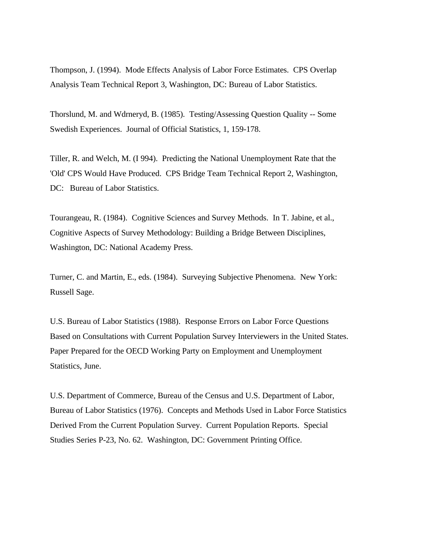Thompson, J. (1994). Mode Effects Analysis of Labor Force Estimates. CPS Overlap Analysis Team Technical Report 3, Washington, DC: Bureau of Labor Statistics.

Thorslund, M. and Wdrneryd, B. (1985). Testing/Assessing Question Quality -- Some Swedish Experiences. Journal of Official Statistics, 1, 159-178.

Tiller, R. and Welch, M. (I 994). Predicting the National Unemployment Rate that the 'Old' CPS Would Have Produced. CPS Bridge Team Technical Report 2, Washington, DC: Bureau of Labor Statistics.

Tourangeau, R. (1984). Cognitive Sciences and Survey Methods. In T. Jabine, et al., Cognitive Aspects of Survey Methodology: Building a Bridge Between Disciplines, Washington, DC: National Academy Press.

Turner, C. and Martin, E., eds. (1984). Surveying Subjective Phenomena. New York: Russell Sage.

U.S. Bureau of Labor Statistics (1988). Response Errors on Labor Force Questions Based on Consultations with Current Population Survey Interviewers in the United States. Paper Prepared for the OECD Working Party on Employment and Unemployment Statistics, June.

U.S. Department of Commerce, Bureau of the Census and U.S. Department of Labor, Bureau of Labor Statistics (1976). Concepts and Methods Used in Labor Force Statistics Derived From the Current Population Survey. Current Population Reports. Special Studies Series P-23, No. 62. Washington, DC: Government Printing Office.